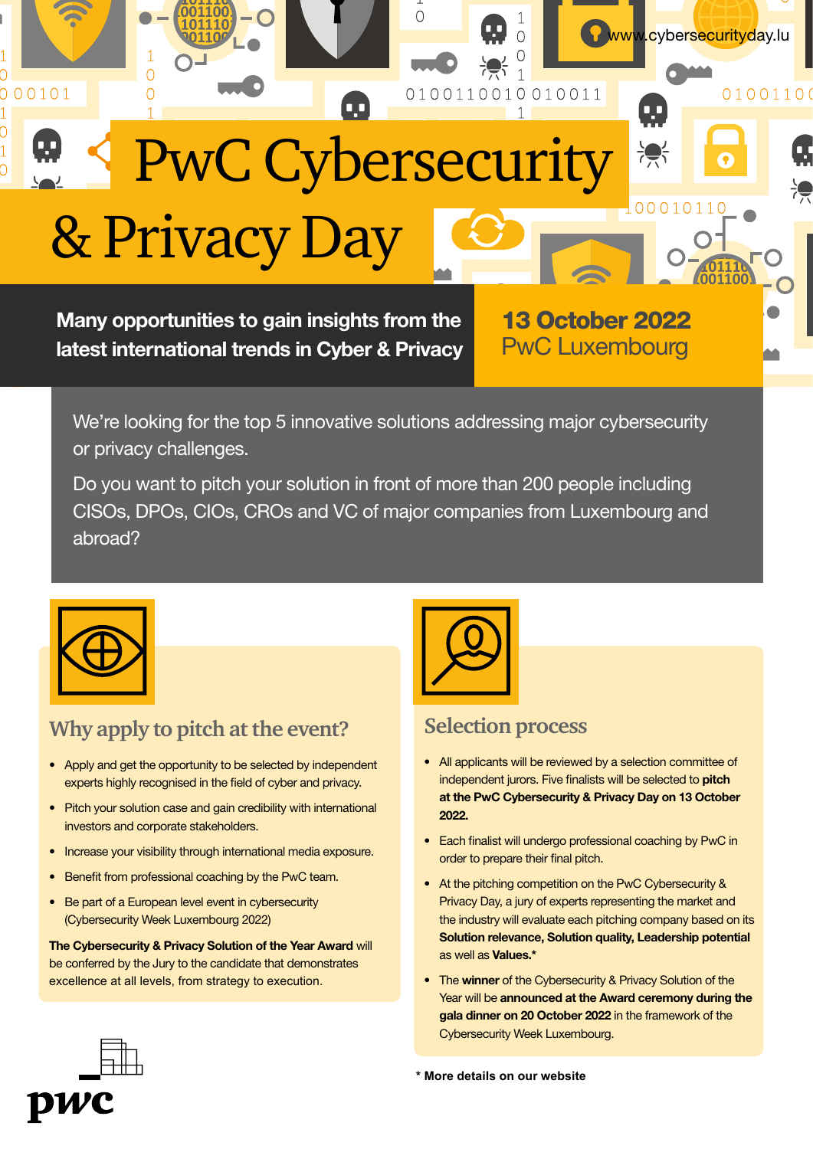# PwC PwC Cybersecurity & Privacy Day

Many opportunities to gain insights from the latest international trends in Cyber & Privacy

13 October 2022 PwC Luxembourg

<mark>www.c</mark>ybers<mark>ecurityda</mark>y.lu

0001011

01001100

We're looking for the top 5 innovative solutions addressing major cybersecurity or privacy challenges.

 $\bigcirc$ 

0100110010010011

Do you want to pitch your solution in front of more than 200 people including CISOs, DPOs, CIOs, CROs and VC of major companies from Luxembourg and abroad?



00101

 $\bigcap$ 

## **Why apply to pitch at the event?**

- Apply and get the opportunity to be selected by independent experts highly recognised in the field of cyber and privacy.
- Pitch your solution case and gain credibility with international investors and corporate stakeholders.
- Increase your visibility through international media exposure.
- Benefit from professional coaching by the PwC team.
- Be part of a European level event in cybersecurity (Cybersecurity Week Luxembourg 2022)

The Cybersecurity & Privacy Solution of the Year Award will be conferred by the Jury to the candidate that demonstrates excellence at all levels, from strategy to execution.



## **Selection process**

- All applicants will be reviewed by a selection committee of independent jurors. Five finalists will be selected to pitch at the PwC Cybersecurity & Privacy Day on 13 October 2022.
- Each finalist will undergo professional coaching by PwC in order to prepare their final pitch.
- At the pitching competition on the PwC Cybersecurity & Privacy Day, a jury of experts representing the market and the industry will evaluate each pitching company based on its Solution relevance, Solution quality, Leadership potential as well as Values.\*
- The winner of the Cybersecurity & Privacy Solution of the Year will be announced at the Award ceremony during the gala dinner on 20 October 2022 in the framework of the Cybersecurity Week Luxembourg.



**\* More details on our website**